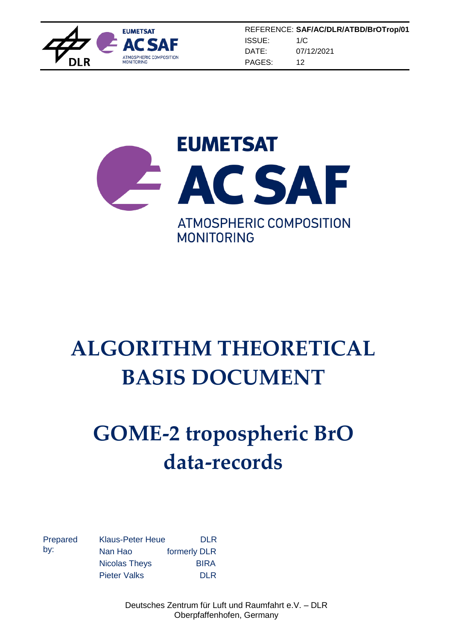

REFERENCE: **SAF/AC/DLR/ATBD/BrOTrop/01** ISSUE: DATE: PAGES:  $1/C$ 07/12/2021 12



# **ALGORITHM THEORETICAL BASIS DOCUMENT**

# **GOME-2 tropospheric BrO data-records**

Prepared by: Klaus-Peter Heue DLR Nan Hao formerly DLR Nicolas Theys **BIRA** Pieter Valks **DLR** 

> Deutsches Zentrum für Luft und Raumfahrt e.V. – DLR Oberpfaffenhofen, Germany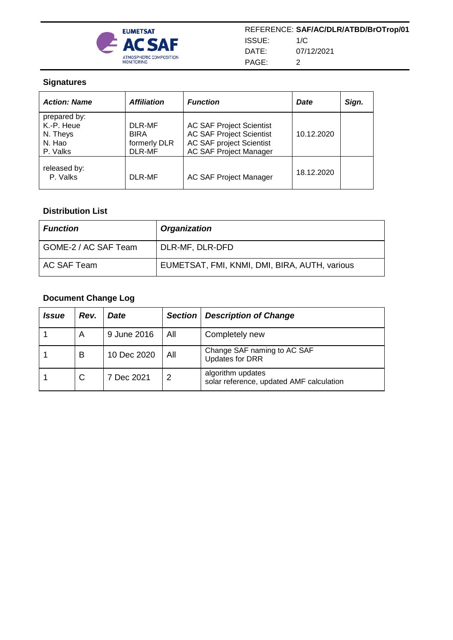

REFERENCE: **SAF/AC/DLR/ATBD/BrOTrop/01** ISSUE: DATE: PAGE: 1/C 07/12/2021 2

# **Signatures**

| <b>Action: Name</b>                                          | <b>Affiliation</b>                              | <b>Function</b>                                                                                                                        | <b>Date</b> | Sign. |
|--------------------------------------------------------------|-------------------------------------------------|----------------------------------------------------------------------------------------------------------------------------------------|-------------|-------|
| prepared by:<br>K.-P. Heue<br>N. Theys<br>N. Hao<br>P. Valks | DLR-MF<br><b>BIRA</b><br>formerly DLR<br>DLR-MF | <b>AC SAF Project Scientist</b><br><b>AC SAF Project Scientist</b><br><b>AC SAF project Scientist</b><br><b>AC SAF Project Manager</b> | 10.12.2020  |       |
| released by:<br>P. Valks                                     | <b>DLR-MF</b>                                   | <b>AC SAF Project Manager</b>                                                                                                          | 18.12.2020  |       |

#### **Distribution List**

| <b>Function</b>      | <b>Organization</b>                           |
|----------------------|-----------------------------------------------|
| GOME-2 / AC SAF Team | DLR-MF, DLR-DFD                               |
| AC SAF Team          | EUMETSAT, FMI, KNMI, DMI, BIRA, AUTH, various |

# **Document Change Log**

| <i><b>Issue</b></i> | Rev. | Date        | <b>Section</b> | <b>Description of Change</b>                                  |
|---------------------|------|-------------|----------------|---------------------------------------------------------------|
|                     | A    | 9 June 2016 | All            | Completely new                                                |
|                     | в    | 10 Dec 2020 | All            | Change SAF naming to AC SAF<br><b>Updates for DRR</b>         |
|                     | C    | 7 Dec 2021  | 2              | algorithm updates<br>solar reference, updated AMF calculation |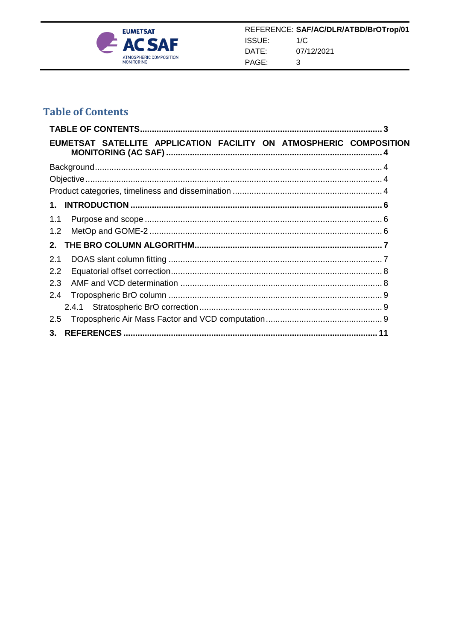

# <span id="page-2-0"></span>**Table of Contents**

| EUMETSAT SATELLITE APPLICATION FACILITY ON ATMOSPHERIC COMPOSITION |  |
|--------------------------------------------------------------------|--|
|                                                                    |  |
|                                                                    |  |
|                                                                    |  |
|                                                                    |  |
| 1.1                                                                |  |
| 1.2                                                                |  |
| $2-$                                                               |  |
| 2.1                                                                |  |
| 2.2                                                                |  |
| 2.3                                                                |  |
| 2.4                                                                |  |
| 2.4.1                                                              |  |
| 2.5                                                                |  |
|                                                                    |  |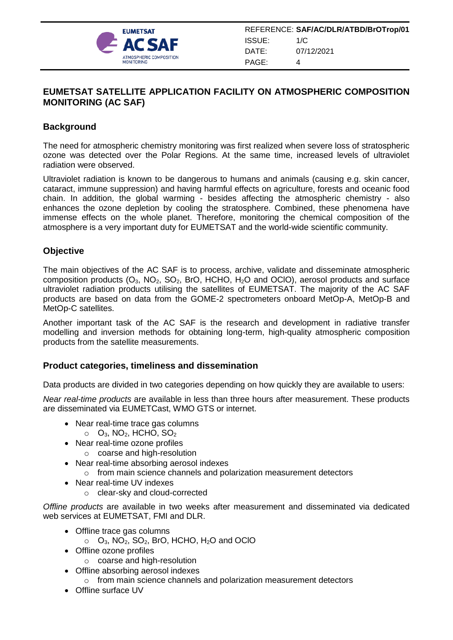

## <span id="page-3-0"></span>**EUMETSAT SATELLITE APPLICATION FACILITY ON ATMOSPHERIC COMPOSITION MONITORING (AC SAF)**

## <span id="page-3-1"></span>**Background**

The need for atmospheric chemistry monitoring was first realized when severe loss of stratospheric ozone was detected over the Polar Regions. At the same time, increased levels of ultraviolet radiation were observed.

Ultraviolet radiation is known to be dangerous to humans and animals (causing e.g. skin cancer, cataract, immune suppression) and having harmful effects on agriculture, forests and oceanic food chain. In addition, the global warming - besides affecting the atmospheric chemistry - also enhances the ozone depletion by cooling the stratosphere. Combined, these phenomena have immense effects on the whole planet. Therefore, monitoring the chemical composition of the atmosphere is a very important duty for EUMETSAT and the world-wide scientific community.

#### <span id="page-3-2"></span>**Objective**

The main objectives of the AC SAF is to process, archive, validate and disseminate atmospheric composition products  $(O_3, NO_2, SO_2, B<sub>1</sub>O, HCHO, H<sub>2</sub>O, and OClO)$ , aerosol products and surface ultraviolet radiation products utilising the satellites of EUMETSAT. The majority of the AC SAF products are based on data from the GOME-2 spectrometers onboard MetOp-A, MetOp-B and MetOp-C satellites.

Another important task of the AC SAF is the research and development in radiative transfer modelling and inversion methods for obtaining long-term, high-quality atmospheric composition products from the satellite measurements.

#### <span id="page-3-3"></span>**Product categories, timeliness and dissemination**

Data products are divided in two categories depending on how quickly they are available to users:

*Near real-time products* are available in less than three hours after measurement. These products are disseminated via EUMETCast, WMO GTS or internet.

- Near real-time trace gas columns
	- $O_3$ , NO<sub>2</sub>, HCHO, SO<sub>2</sub>
- Near real-time ozone profiles
	- o coarse and high-resolution
- Near real-time absorbing aerosol indexes
	- o from main science channels and polarization measurement detectors
- Near real-time UV indexes
	- o clear-sky and cloud-corrected

*Offline products* are available in two weeks after measurement and disseminated via dedicated web services at EUMETSAT, FMI and DLR.

- Offline trace gas columns
	- $O_3$ , NO<sub>2</sub>, SO<sub>2</sub>, BrO, HCHO, H<sub>2</sub>O and OCIO
- Offline ozone profiles
	- o coarse and high-resolution
- Offline absorbing aerosol indexes
	- o from main science channels and polarization measurement detectors
- Offline surface UV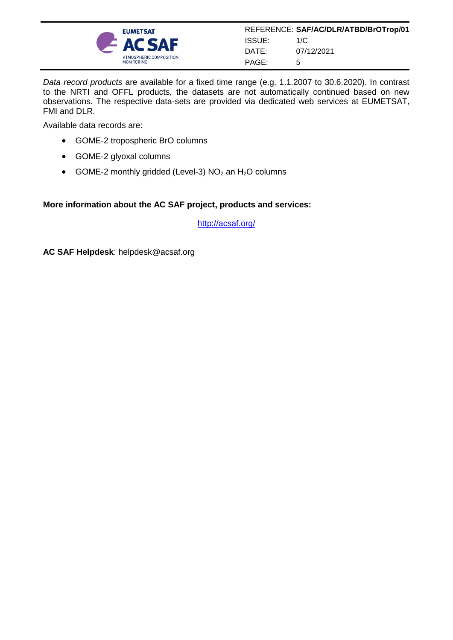

REFERENCE: **SAF/AC/DLR/ATBD/BrOTrop/01** ISSUE: DATE: PAGE: 1/C 07/12/2021 5

*Data record products* are available for a fixed time range (e.g. 1.1.2007 to 30.6.2020). In contrast to the NRTI and OFFL products, the datasets are not automatically continued based on new observations. The respective data-sets are provided via dedicated web services at EUMETSAT, FMI and DLR.

Available data records are:

- GOME-2 tropospheric BrO columns
- GOME-2 glyoxal columns
- GOME-2 monthly gridded (Level-3)  $NO<sub>2</sub>$  an H<sub>2</sub>O columns

#### **More information about the AC SAF project, products and services:**

<http://acsaf.org/>

**AC SAF Helpdesk**: helpdesk@acsaf.org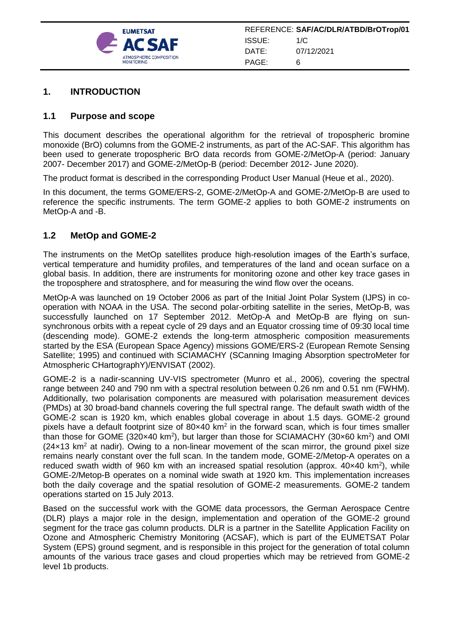

# <span id="page-5-0"></span>**1. INTRODUCTION**

### <span id="page-5-1"></span>**1.1 Purpose and scope**

This document describes the operational algorithm for the retrieval of tropospheric bromine monoxide (BrO) columns from the GOME-2 instruments, as part of the AC-SAF. This algorithm has been used to generate tropospheric BrO data records from GOME-2/MetOp-A (period: January 2007- December 2017) and GOME-2/MetOp-B (period: December 2012- June 2020).

The product format is described in the corresponding Product User Manual (Heue et al., 2020).

In this document, the terms GOME/ERS-2, GOME-2/MetOp-A and GOME-2/MetOp-B are used to reference the specific instruments. The term GOME-2 applies to both GOME-2 instruments on MetOp-A and -B.

### <span id="page-5-2"></span>**1.2 MetOp and GOME-2**

The instruments on the MetOp satellites produce high-resolution images of the Earth's surface, vertical temperature and humidity profiles, and temperatures of the land and ocean surface on a global basis. In addition, there are instruments for monitoring ozone and other key trace gases in the troposphere and stratosphere, and for measuring the wind flow over the oceans.

MetOp-A was launched on 19 October 2006 as part of the Initial Joint Polar System (IJPS) in cooperation with NOAA in the USA. The second polar-orbiting satellite in the series, MetOp-B, was successfully launched on 17 September 2012. MetOp-A and MetOp-B are flying on sunsynchronous orbits with a repeat cycle of 29 days and an Equator crossing time of 09:30 local time (descending mode). GOME-2 extends the long-term atmospheric composition measurements started by the ESA (European Space Agency) missions GOME/ERS-2 (European Remote Sensing Satellite; 1995) and continued with SCIAMACHY (SCanning Imaging Absorption spectroMeter for Atmospheric CHartographY)/ENVISAT (2002).

GOME-2 is a nadir-scanning UV-VIS spectrometer (Munro et al., 2006), covering the spectral range between 240 and 790 nm with a spectral resolution between 0.26 nm and 0.51 nm (FWHM). Additionally, two polarisation components are measured with polarisation measurement devices (PMDs) at 30 broad-band channels covering the full spectral range. The default swath width of the GOME-2 scan is 1920 km, which enables global coverage in about 1.5 days. GOME-2 ground pixels have a default footprint size of  $80\times40$  km<sup>2</sup> in the forward scan, which is four times smaller than those for GOME (320 $\times$ 40 km<sup>2</sup>), but larger than those for SCIAMACHY (30 $\times$ 60 km<sup>2</sup>) and OMI  $(24\times13 \text{ km}^2 \text{ at } \text{nadir})$ . Owing to a non-linear movement of the scan mirror, the ground pixel size remains nearly constant over the full scan. In the tandem mode, GOME-2/Metop-A operates on a reduced swath width of 960 km with an increased spatial resolution (approx.  $40 \times 40$  km<sup>2</sup>), while GOME-2/Metop-B operates on a nominal wide swath at 1920 km. This implementation increases both the daily coverage and the spatial resolution of GOME-2 measurements. GOME-2 tandem operations started on 15 July 2013.

Based on the successful work with the GOME data processors, the German Aerospace Centre (DLR) plays a major role in the design, implementation and operation of the GOME-2 ground segment for the trace gas column products. DLR is a partner in the Satellite Application Facility on Ozone and Atmospheric Chemistry Monitoring (ACSAF), which is part of the EUMETSAT Polar System (EPS) ground segment, and is responsible in this project for the generation of total column amounts of the various trace gases and cloud properties which may be retrieved from GOME-2 level 1b products.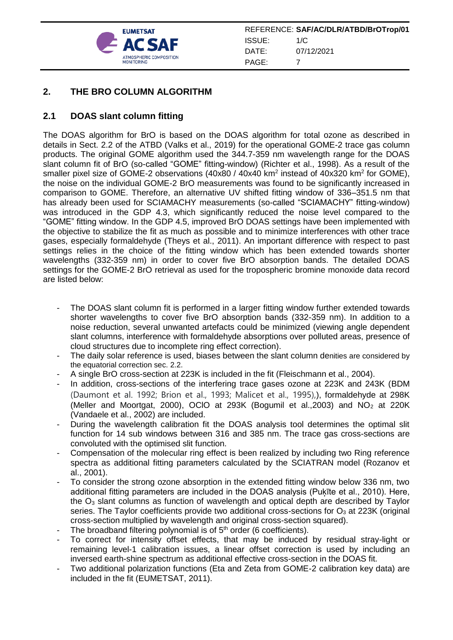

# <span id="page-6-0"></span>**2. THE BRO COLUMN ALGORITHM**

# <span id="page-6-1"></span>**2.1 DOAS slant column fitting**

The DOAS algorithm for BrO is based on the DOAS algorithm for total ozone as described in details in Sect. 2.2 of the ATBD (Valks et al., 2019) for the operational GOME-2 trace gas column products. The original GOME algorithm used the 344.7-359 nm wavelength range for the DOAS slant column fit of BrO (so-called "GOME" fitting-window) (Richter et al., 1998). As a result of the smaller pixel size of GOME-2 observations (40x80 / 40x40 km<sup>2</sup> instead of 40x320 km<sup>2</sup> for GOME), the noise on the individual GOME-2 BrO measurements was found to be significantly increased in comparison to GOME. Therefore, an alternative UV shifted fitting window of 336–351.5 nm that has already been used for SCIAMACHY measurements (so-called "SCIAMACHY" fitting-window) was introduced in the GDP 4.3, which significantly reduced the noise level compared to the "GOME" fitting window. In the GDP 4.5, improved BrO DOAS settings have been implemented with the objective to stabilize the fit as much as possible and to minimize interferences with other trace gases, especially formaldehyde (Theys et al., 2011). An important difference with respect to past settings relies in the choice of the fitting window which has been extended towards shorter wavelengths (332-359 nm) in order to cover five BrO absorption bands. The detailed DOAS settings for the GOME-2 BrO retrieval as used for the tropospheric bromine monoxide data record are listed below:

- The DOAS slant column fit is performed in a larger fitting window further extended towards shorter wavelengths to cover five BrO absorption bands (332-359 nm). In addition to a noise reduction, several unwanted artefacts could be minimized (viewing angle dependent slant columns, interference with formaldehyde absorptions over polluted areas, presence of cloud structures due to incomplete ring effect correction).
- The daily solar reference is used, biases between the slant column denities are considered by the equatorial correction sec. [2.2.](#page-7-0)
- A single BrO cross-section at 223K is included in the fit (Fleischmann et al., 2004).
- In addition, cross-sections of the interfering trace gases ozone at 223K and 243K (BDM (Daumont et al. 1992; Brion et al., 1993; Malicet et al., 1995),), formaldehyde at 298K (Meller and Moortgat, 2000), OCIO at 293K (Bogumil et al., 2003) and  $NO<sub>2</sub>$  at 220K (Vandaele et al., 2002) are included.
- During the wavelength calibration fit the DOAS analysis tool determines the optimal slit function for 14 sub windows between 316 and 385 nm. The trace gas cross-sections are convoluted with the optimised slit function.
- Compensation of the molecular ring effect is been realized by including two Ring reference spectra as additional fitting parameters calculated by the SCIATRAN model (Rozanov et al., 2001).
- To consider the strong ozone absorption in the extended fitting window below 336 nm, two additional fitting parameters are included in the DOAS analysis (Puķīte et al., 2010). Here, the  $O<sub>3</sub>$  slant columns as function of wavelength and optical depth are described by Taylor series. The Taylor coefficients provide two additional cross-sections for  $O<sub>3</sub>$  at 223K (original cross-section multiplied by wavelength and original cross-section squared).
- The broadband filtering polynomial is of  $5<sup>th</sup>$  order (6 coefficients).
- To correct for intensity offset effects, that may be induced by residual stray-light or remaining level-1 calibration issues, a linear offset correction is used by including an inversed earth-shine spectrum as additional effective cross-section in the DOAS fit.
- Two additional polarization functions (Eta and Zeta from GOME-2 calibration key data) are included in the fit (EUMETSAT, 2011).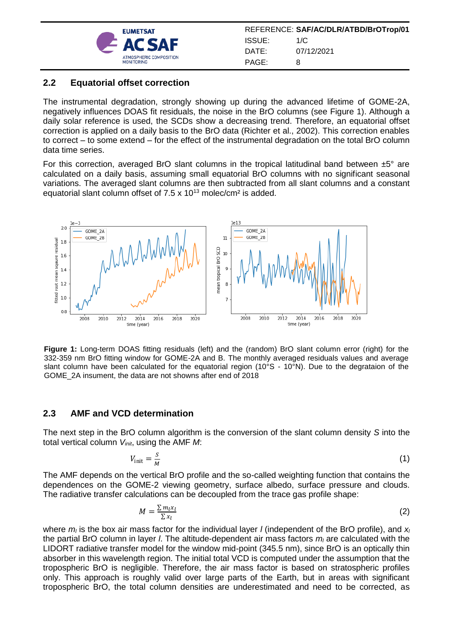

|        | REFERENCE: SAF/AC/DLR/ATBD/BrOTrop/01 |
|--------|---------------------------------------|
| ISSUE: | 1/C                                   |
| DATE:  | 07/12/2021                            |
| PAGE:  | я                                     |

#### <span id="page-7-0"></span>**2.2 Equatorial offset correction**

The instrumental degradation, strongly showing up during the advanced lifetime of GOME-2A, negatively influences DOAS fit residuals, the noise in the BrO columns (see [Figure 1\)](#page-7-2). Although a daily solar reference is used, the SCDs show a decreasing trend. Therefore, an equatorial offset correction is applied on a daily basis to the BrO data (Richter et al., 2002). This correction enables to correct – to some extend – for the effect of the instrumental degradation on the total BrO column data time series.

For this correction, averaged BrO slant columns in the tropical latitudinal band between  $\pm 5^{\circ}$  are calculated on a daily basis, assuming small equatorial BrO columns with no significant seasonal variations. The averaged slant columns are then subtracted from all slant columns and a constant equatorial slant column offset of  $7.5 \times 10^{13}$  molec/cm<sup>2</sup> is added.



<span id="page-7-2"></span>**Figure 1:** Long-term DOAS fitting residuals (left) and the (random) BrO slant column error (right) for the 332-359 nm BrO fitting window for GOME-2A and B. The monthly averaged residuals values and average slant column have been calculated for the equatorial region (10°S - 10°N). Due to the degrataion of the GOME\_2A insument, the data are not showns after end of 2018

#### <span id="page-7-1"></span>**2.3 AMF and VCD determination**

The next step in the BrO column algorithm is the conversion of the slant column density *S* into the total vertical column *Vinit*, using the AMF *M*:

$$
V_{\text{init}} = \frac{S}{M} \tag{1}
$$

The AMF depends on the vertical BrO profile and the so-called weighting function that contains the dependences on the GOME-2 viewing geometry, surface albedo, surface pressure and clouds. The radiative transfer calculations can be decoupled from the trace gas profile shape:

$$
M = \frac{\sum m_l x_l}{\sum x_l} \tag{2}
$$

where *m<sup>l</sup>* is the box air mass factor for the individual layer *l* (independent of the BrO profile), and *x<sup>l</sup>* the partial BrO column in layer *l*. The altitude-dependent air mass factors *m<sup>l</sup>* are calculated with the LIDORT radiative transfer model for the window mid-point (345.5 nm), since BrO is an optically thin absorber in this wavelength region. The initial total VCD is computed under the assumption that the tropospheric BrO is negligible. Therefore, the air mass factor is based on stratospheric profiles only. This approach is roughly valid over large parts of the Earth, but in areas with significant tropospheric BrO, the total column densities are underestimated and need to be corrected, as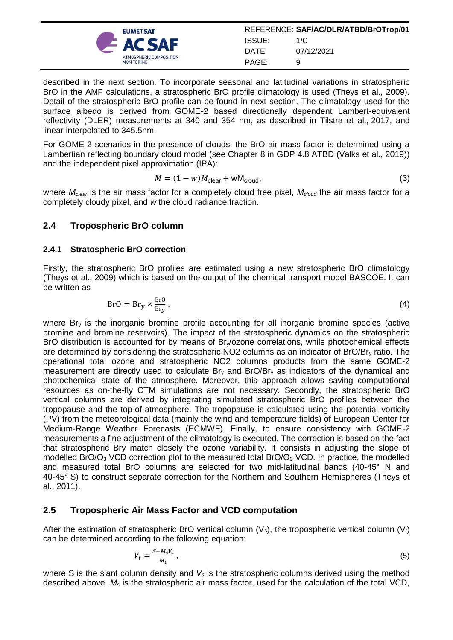

described in the next section. To incorporate seasonal and latitudinal variations in stratospheric BrO in the AMF calculations, a stratospheric BrO profile climatology is used (Theys et al., 2009). Detail of the stratospheric BrO profile can be found in next section. The climatology used for the surface albedo is derived from GOME-2 based directionally dependent Lambert-equivalent reflectivity (DLER) measurements at 340 and 354 nm, as described in Tilstra et al., 2017, and linear interpolated to 345.5nm.

For GOME-2 scenarios in the presence of clouds, the BrO air mass factor is determined using a Lambertian reflecting boundary cloud model (see Chapter 8 in GDP 4.8 ATBD (Valks et al., 2019)) and the independent pixel approximation (IPA):

$$
M = (1 - w)M_{\text{clear}} + \text{wM}_{\text{cloud}},\tag{3}
$$

where *Mclear* is the air mass factor for a completely cloud free pixel, *Mcloud* the air mass factor for a completely cloudy pixel, and *w* the cloud radiance fraction.

### <span id="page-8-0"></span>**2.4 Tropospheric BrO column**

#### <span id="page-8-1"></span>**2.4.1 Stratospheric BrO correction**

Firstly, the stratospheric BrO profiles are estimated using a new stratospheric BrO climatology (Theys et al., 2009) which is based on the output of the chemical transport model BASCOE. It can be written as

$$
BrO = Br_y \times \frac{Br_0}{Br_y},\tag{4}
$$

where  $Br<sub>v</sub>$  is the inorganic bromine profile accounting for all inorganic bromine species (active bromine and bromine reservoirs). The impact of the stratospheric dynamics on the stratospheric BrO distribution is accounted for by means of Bry/ozone correlations, while photochemical effects are determined by considering the stratospheric NO2 columns as an indicator of BrO/Br<sup>y</sup> ratio. The operational total ozone and stratospheric NO2 columns products from the same GOME-2 measurement are directly used to calculate Br<sup>y</sup> and BrO/Br<sup>y</sup> as indicators of the dynamical and photochemical state of the atmosphere. Moreover, this approach allows saving computational resources as on-the-fly CTM simulations are not necessary. Secondly, the stratospheric BrO vertical columns are derived by integrating simulated stratospheric BrO profiles between the tropopause and the top-of-atmosphere. The tropopause is calculated using the potential vorticity (PV) from the meteorological data (mainly the wind and temperature fields) of European Center for Medium-Range Weather Forecasts (ECMWF). Finally, to ensure consistency with GOME-2 measurements a fine adjustment of the climatology is executed. The correction is based on the fact that stratospheric Bry match closely the ozone variability. It consists in adjusting the slope of modelled BrO/O<sub>3</sub> VCD correction plot to the measured total BrO/O<sub>3</sub> VCD. In practice, the modelled and measured total BrO columns are selected for two mid-latitudinal bands (40-45° N and 40-45° S) to construct separate correction for the Northern and Southern Hemispheres (Theys et al., 2011).

#### <span id="page-8-2"></span>**2.5 Tropospheric Air Mass Factor and VCD computation**

After the estimation of stratospheric BrO vertical column  $(V_s)$ , the tropospheric vertical column  $(V_t)$ can be determined according to the following equation:

$$
V_t = \frac{S - M_S V_S}{M_t} \,,\tag{5}
$$

where S is the slant column density and *V<sup>s</sup>* is the stratospheric columns derived using the method described above. *M<sup>s</sup>* is the stratospheric air mass factor, used for the calculation of the total VCD,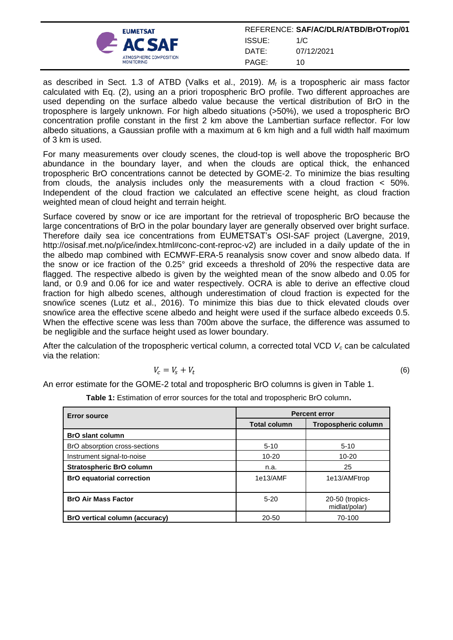

as described in Sect. 1.3 of ATBD (Valks et al., 2019). *M<sup>t</sup>* is a tropospheric air mass factor calculated with Eq. (2), using an a priori tropospheric BrO profile. Two different approaches are used depending on the surface albedo value because the vertical distribution of BrO in the troposphere is largely unknown. For high albedo situations (>50%), we used a tropospheric BrO concentration profile constant in the first 2 km above the Lambertian surface reflector. For low albedo situations, a Gaussian profile with a maximum at 6 km high and a full width half maximum of 3 km is used.

For many measurements over cloudy scenes, the cloud-top is well above the tropospheric BrO abundance in the boundary layer, and when the clouds are optical thick, the enhanced tropospheric BrO concentrations cannot be detected by GOME-2. To minimize the bias resulting from clouds, the analysis includes only the measurements with a cloud fraction < 50%. Independent of the cloud fraction we calculated an effective scene height, as cloud fraction weighted mean of cloud height and terrain height.

Surface covered by snow or ice are important for the retrieval of tropospheric BrO because the large concentrations of BrO in the polar boundary layer are generally observed over bright surface. Therefore daily sea ice concentrations from EUMETSAT's OSI-SAF project (Lavergne, 2019, http://osisaf.met.no/p/ice/index.html#conc-cont-reproc-v2) are included in a daily update of the in the albedo map combined with ECMWF-ERA-5 reanalysis snow cover and snow albedo data. If the snow or ice fraction of the 0.25° grid exceeds a threshold of 20% the respective data are flagged. The respective albedo is given by the weighted mean of the snow albedo and 0.05 for land, or 0.9 and 0.06 for ice and water respectively. OCRA is able to derive an effective cloud fraction for high albedo scenes, although underestimation of cloud fraction is expected for the snow/ice scenes (Lutz et al., 2016). To minimize this bias due to thick elevated clouds over snow/ice area the effective scene albedo and height were used if the surface albedo exceeds 0.5. When the effective scene was less than 700m above the surface, the difference was assumed to be negligible and the surface height used as lower boundary.

After the calculation of the tropospheric vertical column, a corrected total VCD *V<sup>c</sup>* can be calculated via the relation:

$$
V_c = V_s + V_t \tag{6}
$$

An error estimate for the GOME-2 total and tropospheric BrO columns is given in Table 1.

**Table 1:** Estimation of error sources for the total and tropospheric BrO column**.**

| <b>Error source</b>              | <b>Percent error</b> |                                  |  |
|----------------------------------|----------------------|----------------------------------|--|
|                                  | <b>Total column</b>  | <b>Tropospheric column</b>       |  |
| <b>BrO slant column</b>          |                      |                                  |  |
| BrO absorption cross-sections    | $5 - 10$             | $5 - 10$                         |  |
| Instrument signal-to-noise       | $10 - 20$            | $10 - 20$                        |  |
| <b>Stratospheric BrO column</b>  | n.a.                 | 25                               |  |
| <b>BrO equatorial correction</b> | 1e13/AMF             | 1e13/AMFtrop                     |  |
| <b>BrO Air Mass Factor</b>       | $5 - 20$             | 20-50 (tropics-<br>midlat/polar) |  |
| BrO vertical column (accuracy)   | $20 - 50$            | 70-100                           |  |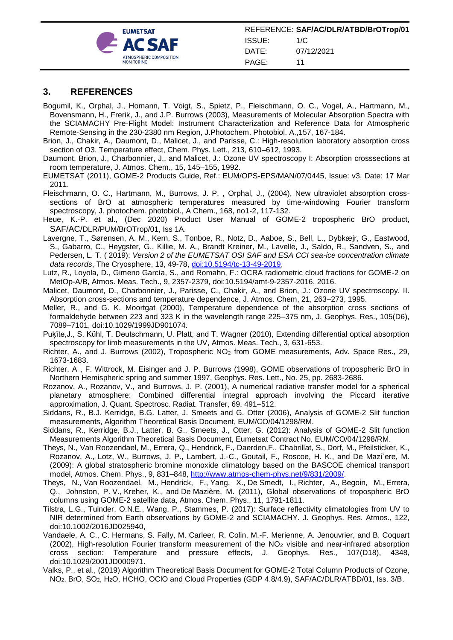

### <span id="page-10-0"></span>**3. REFERENCES**

- Bogumil, K., Orphal, J., Homann, T. Voigt, S., Spietz, P., Fleischmann, O. C., Vogel, A., Hartmann, M., Bovensmann, H., Frerik, J., and J.P. Burrows (2003), Measurements of Molecular Absorption Spectra with the SCIAMACHY Pre-Flight Model: Instrument Characterization and Reference Data for Atmospheric Remote-Sensing in the 230-2380 nm Region, J.Photochem. Photobiol. A.,157, 167-184.
- Brion, J., Chakir, A., Daumont, D., Malicet, J., and Parisse, C.: High-resolution laboratory absorption cross section of O3. Temperature effect, Chem. Phys. Lett., 213, 610–612, 1993.
- Daumont, Brion, J., Charbonnier, J., and Malicet, J.: Ozone UV spectroscopy I: Absorption crosssections at room temperature, J. Atmos. Chem., 15, 145–155, 1992.
- EUMETSAT (2011), GOME-2 Products Guide, Ref.: EUM/OPS-EPS/MAN/07/0445, Issue: v3, Date: 17 Mar 2011.

Fleischmann, O. C., Hartmann, M., Burrows, J. P. , Orphal, J., (2004), New ultraviolet absorption crosssections of BrO at atmospheric temperatures measured by time-windowing Fourier transform spectroscopy, J. photochem. photobiol., A Chem., 168, no1-2, 117-132.

- Heue, K.-P. et al., (Dec 2020) Product User Manual of GOME-2 tropospheric BrO product, SAF/AC/DLR/PUM/BrOTrop/01, Iss 1A.
- Lavergne, T., Sørensen, A. M., Kern, S., Tonboe, R., Notz, D., Aaboe, S., Bell, L., Dybkæjr, G., Eastwood, S., Gabarro, C., Heygster, G., Killie, M. A., Brandt Kreiner, M., Lavelle, J., Saldo, R., Sandven, S., and Pedersen, L. T. ( 2019): *Version 2 of the EUMETSAT OSI SAF and ESA CCI sea-ice concentration climate data records*, The Cryosphere, 13, 49-78, [doi:10.5194/tc-13-49-2019,](https://doi.org/10.5194/tc-13-49-2019)
- Lutz, R., Loyola, D., Gimeno García, S., and Romahn, F.: OCRA radiometric cloud fractions for GOME-2 on MetOp-A/B, Atmos. Meas. Tech., 9, 2357-2379, doi:10.5194/amt-9-2357-2016, 2016.
- Malicet, Daumont, D., Charbonnier, J., Parisse, C., Chakir, A., and Brion, J.: Ozone UV spectroscopy. II. Absorption cross-sections and temperature dependence, J. Atmos. Chem, 21, 263–273, 1995.
- Meller, R., and G. K. Moortgat (2000), Temperature dependence of the absorption cross sections of formaldehyde between 223 and 323 K in the wavelength range 225–375 nm, J. Geophys. Res., 105(D6), 7089–7101, doi:10.1029/1999JD901074.
- Puķīte,J., S. Kühl, T. Deutschmann, U. Platt, and T. Wagner (2010), Extending differential optical absorption spectroscopy for limb measurements in the UV, Atmos. Meas. Tech., 3, 631-653.
- Richter, A., and J. Burrows (2002), Tropospheric NO<sup>2</sup> from GOME measurements, Adv. Space Res., 29, 1673-1683.
- Richter, A , F. Wittrock, M. Eisinger and J. P. Burrows (1998), GOME observations of tropospheric BrO in Northern Hemispheric spring and summer 1997, Geophys. Res. Lett., No. 25, pp. 2683-2686.
- Rozanov, A., Rozanov, V., and Burrows, J. P. (2001), A numerical radiative transfer model for a spherical planetary atmosphere: Combined differential integral approach involving the Piccard iterative approximation, J. Quant. Spectrosc. Radiat. Transfer, 69, 491–512.
- Siddans, R., B.J. Kerridge, B.G. Latter, J. Smeets and G. Otter (2006), Analysis of GOME-2 Slit function measurements, Algorithm Theoretical Basis Document, EUM/CO/04/1298/RM.
- Siddans, R., Kerridge, B.J., Latter, B. G., Smeets, J., Otter, G. (2012): Analysis of GOME-2 Slit function Measurements Algorithm Theoretical Basis Document, Eumetsat Contract No. EUM/CO/04/1298/RM.
- Theys, N., Van Roozendael, M., Errera, Q., Hendrick, F., Daerden,F., Chabrillat, S., Dorf, M., Pfeilsticker, K., Rozanov, A., Lotz, W., Burrows, J. P., Lambert, J.-C., Goutail, F., Roscoe, H. K., and De Mazi`ere, M. (2009): A global stratospheric bromine monoxide climatology based on the BASCOE chemical transport model, Atmos. Chem. Phys., 9, 831–848, [http://www.atmos-chem-phys.net/9/831/2009/.](http://www.atmos-chem-phys.net/9/831/2009/)
- Theys, N., Van Roozendael, M., Hendrick, F., Yang, X., De Smedt, I., Richter, A., Begoin, M., Errera, Q., Johnston, P. V., Kreher, K., and De Mazière, M. (2011), Global observations of tropospheric BrO columns using GOME-2 satellite data, Atmos. Chem. Phys., 11, 1791-1811.
- Tilstra, L.G., Tuinder, O.N.E., Wang, P., Stammes, P. (2017): Surface reflectivity climatologies from UV to NIR determined from Earth observations by GOME-2 and SCIAMACHY. J. Geophys. Res. Atmos., 122, doi:10.1002/2016JD025940,
- Vandaele, A. C., C. Hermans, S. Fally, M. Carleer, R. Colin, M.-F. Merienne, A. Jenouvrier, and B. Coquart (2002), High-resolution Fourier transform measurement of the  $NO<sub>2</sub>$  visible and near-infrared absorption cross section: Temperature and pressure effects, J. Geophys. Res., 107(D18), 4348, doi:10.1029/2001JD000971.
- Valks, P., et al., (2019) Algorithm Theoretical Basis Document for GOME-2 Total Column Products of Ozone, NO2, BrO, SO2, H2O, HCHO, OClO and Cloud Properties (GDP 4.8/4.9), SAF/AC/DLR/ATBD/01, Iss. 3/B.